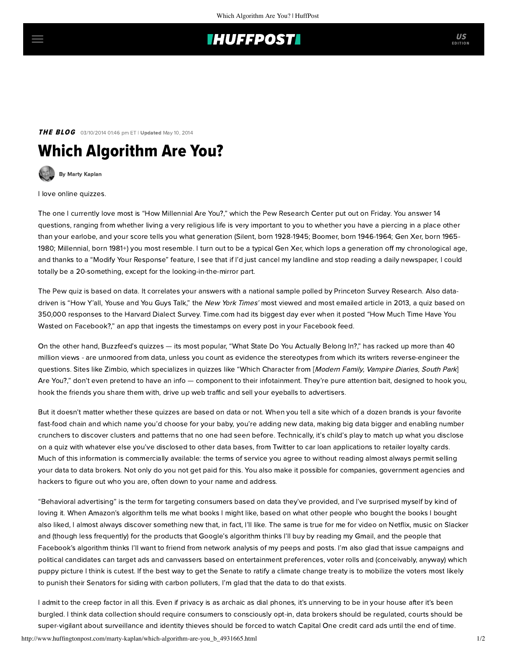## **IHUFFPOSTI**

THE BLOG 03/10/2014 01:46 pm ET | Updated May 10, 2014

## Which Algorithm Are You?

[By Marty Kaplan](http://www.huffingtonpost.com/author/marty-kaplan)

I love online quizzes.

The one I currently love most is ["How Millennial Are You?](http://www.pewresearch.org/quiz/how-millennial-are-you/)," which the Pew Research Center put out on Friday. You answer 14 questions, ranging from whether living a very religious life is very important to you to whether you have a piercing in a place other than your earlobe, and your score tells you what generation (Silent, born 1928-1945; Boomer, born 1946-1964; Gen Xer, born 1965- 1980; Millennial, born 1981+) you most resemble. I turn out to be a typical Gen Xer, which lops a generation off my chronological age, and thanks to a "Modify Your Response" feature, I see that if I'd just cancel my landline and stop reading a daily newspaper, I could totally be a 20-something, except for the looking-in-the-mirror part.

The Pew quiz is based on [data.](http://www.pewsocialtrends.org/files/2014/03/2014-03-07_generations-report-version-for-web.pdf) It correlates your answers with a national sample polled by Princeton Survey Research. Also data-driven is ["How Y'all, Youse and You Guys Talk](http://www.nytimes.com/interactive/2013/12/20/sunday-review/dialect-quiz-map.html?_r=0)," the New York Times' [most viewed](http://www.nytimes.com/2014/03/06/business/media/to-spur-traffic-at-news-sites-just-travoltify.html?hpw&rref=business&_r=0) and most emailed article in 2013, a quiz based on 350,000 responses to the Harvard Dialect Survey. Time.com had its biggest day ever when it posted "How Much Time Have You [Wasted on Facebook?," an app that ingests the timestamps on every post in your Facebook feed.](http://time.com/6107/how-much-time-have-you-wasted-on-facebook/)

On the other hand, Buzzfeed's quizzes — its most popular, "[What State Do You Actually Belong In?](http://www.buzzfeed.com/awesomer/what-state-do-you-actually-belong-in)," has racked up more than 40 million views - are unmoored from data, unless you count as evidence the stereotypes from which its writers reverse-engineer the questions. Sites like [Zimbio,](http://www.zimbio.com/quiz) which specializes in quizzes like "Which Character from [Modern Family, Vampire Diaries, South Park] Are You?," don't even pretend to have an info — component to their infotainment. They're pure attention bait, designed to hook you, hook the friends you [share](http://mashable.com/2014/03/04/quizzes-getting-lucrative/) them with, drive up web traffic and sell your eyeballs to advertisers.

But it doesn't matter whether these quizzes are based on data or not. When you tell a site which of a dozen brands is your favorite fast-food chain and which name you'd choose for your baby, you're adding new data, making big data bigger and enabling number crunchers to discover clusters and patterns that no one had seen before. Technically, it's child's play to match up what you disclose on a quiz with whatever else you've disclosed to other data bases, from Twitter to car loan applications to retailer loyalty cards. Much of this information is commercially available: the terms of service you agree to without reading almost always permit selling your data to data brokers. Not only do you not get paid for this. You also make it possible for companies, government agencies and hackers to figure out who you are, often down to your name and address.

"Behavioral advertising" is the term for targeting consumers based on data they've provided, and I've surprised myself by kind of loving it. When Amazon's algorithm tells me what books I might like, based on what other people who bought the books I bought also liked, I almost always discover something new that, in fact, I'll like. The same is true for me for video on Netflix, music on Slacker and (though less frequently) for the products that Google's algorithm thinks I'll buy by reading my Gmail, and the people that Facebook's algorithm thinks I'll want to friend from network analysis of my peeps and posts. I'm also glad that issue campaigns and political candidates can target ads and canvassers based on entertainment preferences, voter rolls and (conceivably, anyway) which puppy picture I think is cutest. If the best way to get the Senate to ratify a [climate change](http://www.yaleclimatemediaforum.org/2013/03/millennials-change-and-outlook-for-climate-activism-and-coverage/) treaty is to [mobilize](http://www.policymic.com/articles/66377/millennials-are-tackling-climate-change-so-why-haven-t-boomers-noticed) the voters most likely to punish their Senators for siding with carbon polluters, I'm glad that the data to do that exists.

http://www.huffingtonpost.com/marty-kaplan/which-algorithm-are-you b 4931665.html 1/2 I admit to the creep factor in all this. Even if privacy is as archaic as dial phones, it's unnerving to be in your house after it's been burgled. I think data collection should require consumers to consciously opt-in, data brokers should be regulated, courts should be super-vigilant about surveillance and identity thieves should be forced to watch Capital One credit card ads until the end of time.